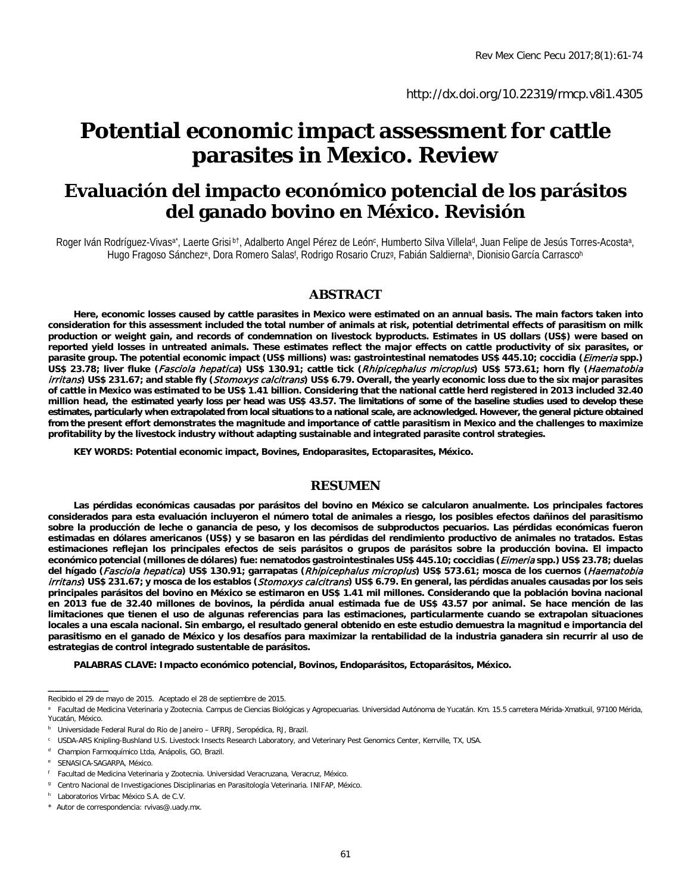[http://d](http://dx.doi.org/10.22319/rmcp.v8i1.4304)x.doi.org/10.22319/rmcp.v8i1.4305

# **Potential economic impact assessment for cattle parasites in Mexico. Review**

## **Evaluación del impacto económico potencial de los parásitos del ganado bovino en México. Revisión**

Roger Iván Rodríguez-Vivasa\*, Laerte Grisi bt, Adalberto Angel Pérez de León<sup>c</sup>, Humberto Silva Villela<sup>d</sup>, Juan Felipe de Jesús Torres-Acostaa, Hugo Fragoso Sánchezº, Dora Romero Salas<sup>r</sup>, Rodrigo Rosario Cruzº, Fabián Saldiernaʰ, Dionisio García Carrascoʰ

#### **ABSTRACT**

**Here, economic losses caused by cattle parasites in Mexico were estimated on an annual basis. The main factors taken into consideration for this assessment included the total number of animals at risk, potential detrimental effects of parasitism on milk production or weight gain, and records of condemnation on livestock byproducts. Estimates in US dollars (US\$) were based on reported yield losses in untreated animals. These estimates reflect the major effects on cattle productivity of six parasites, or parasite group. The potential economic impact (US\$ millions) was: gastrointestinal nematodes US\$ 445.10; coccidia (**Eimeria **spp.) US\$ 23.78; liver fluke (**Fasciola hepatica**) US\$ 130.91; cattle tick (**Rhipicephalus microplus**) US\$ 573.61; horn fly (**Haematobia irritans**) US\$ 231.67; and stable fly (**Stomoxys calcitrans**) US\$ 6.79. Overall, the yearly economic loss due to the six major parasites of cattle in Mexico was estimated to be US\$ 1.41 billion. Considering that the national cattle herd registered in 2013 included 32.40 million head, the estimated yearly loss per head was US\$ 43.57. The limitations of some of the baseline studies used to develop these estimates, particularly when extrapolated from local situations to a national scale, are acknowledged. However, the general picture obtained from the present effort demonstrates the magnitude and importance of cattle parasitism in Mexico and the challenges to maximize profitability by the livestock industry without adapting sustainable and integrated parasite control strategies.** 

**KEY WORDS: Potential economic impact, Bovines, Endoparasites, Ectoparasites, México.**

#### **RESUMEN**

**Las pérdidas económicas causadas por parásitos del bovino en México se calcularon anualmente. Los principales factores considerados para esta evaluación incluyeron el número total de animales a riesgo, los posibles efectos dañinos del parasitismo sobre la producción de leche o ganancia de peso, y los decomisos de subproductos pecuarios. Las pérdidas económicas fueron estimadas en dólares americanos (US\$) y se basaron en las pérdidas del rendimiento productivo de animales no tratados. Estas estimaciones reflejan los principales efectos de seis parásitos o grupos de parásitos sobre la producción bovina. El impacto económico potencial (millones de dólares) fue: nematodos gastrointestinales US\$ 445.10; coccidias (**Eimeria **spp.) US\$ 23.78; duelas del hígado (**Fasciola hepatica**) US\$ 130.91; garrapatas (**Rhipicephalus microplus**) US\$ 573.61; mosca de los cuernos (**Haematobia irritans**) US\$ 231.67; y mosca de los establos (**Stomoxys calcitrans**) US\$ 6.79. En general, las pérdidas anuales causadas por los seis principales parásitos del bovino en México se estimaron en US\$ 1.41 mil millones. Considerando que la población bovina nacional en 2013 fue de 32.40 millones de bovinos, la pérdida anual estimada fue de US\$ 43.57 por animal. Se hace mención de las limitaciones que tienen el uso de algunas referencias para las estimaciones, particularmente cuando se extrapolan situaciones locales a una escala nacional. Sin embargo, el resultado general obtenido en este estudio demuestra la magnitud e importancia del parasitismo en el ganado de México y los desafíos para maximizar la rentabilidad de la industria ganadera sin recurrir al uso de estrategias de control integrado sustentable de parásitos.**

**PALABRAS CLAVE: Impacto económico potencial, Bovinos, Endoparásitos, Ectoparásitos, México.**

 $\overline{\phantom{a}}$ 

Recibido el 29 de mayo de 2015. Aceptado el 28 de septiembre de 2015.

Facultad de Medicina Veterinaria y Zootecnia. Campus de Ciencias Biológicas y Agropecuarias. Universidad Autónoma de Yucatán. Km. 15.5 carretera Mérida-Xmatkuil, 97100 Mérida, Yucatán, México.

<sup>&</sup>lt;sup>b</sup> Universidade Federal Rural do Rio de Janeiro - UFRRJ, Seropédica, RJ, Brazil.

<sup>c</sup> USDA-ARS Knipling-Bushland U.S. Livestock Insects Research Laboratory, and Veterinary Pest Genomics Center, Kerrville, TX, USA.

<sup>&</sup>lt;sup>d</sup> Champion Farmoquímico Ltda, Anápolis, GO, Brazil.

SENASICA-SAGARPA, México.

<sup>f</sup> Facultad de Medicina Veterinaria y Zootecnia. Universidad Veracruzana, Veracruz, México.

<sup>&</sup>lt;sup>g</sup> Centro Nacional de Investigaciones Disciplinarias en Parasitología Veterinaria. INIFAP, México.

h Laboratorios Virbac México S.A. de C.V.

<sup>\*</sup> Autor de correspondencia: rvivas@.uady.mx.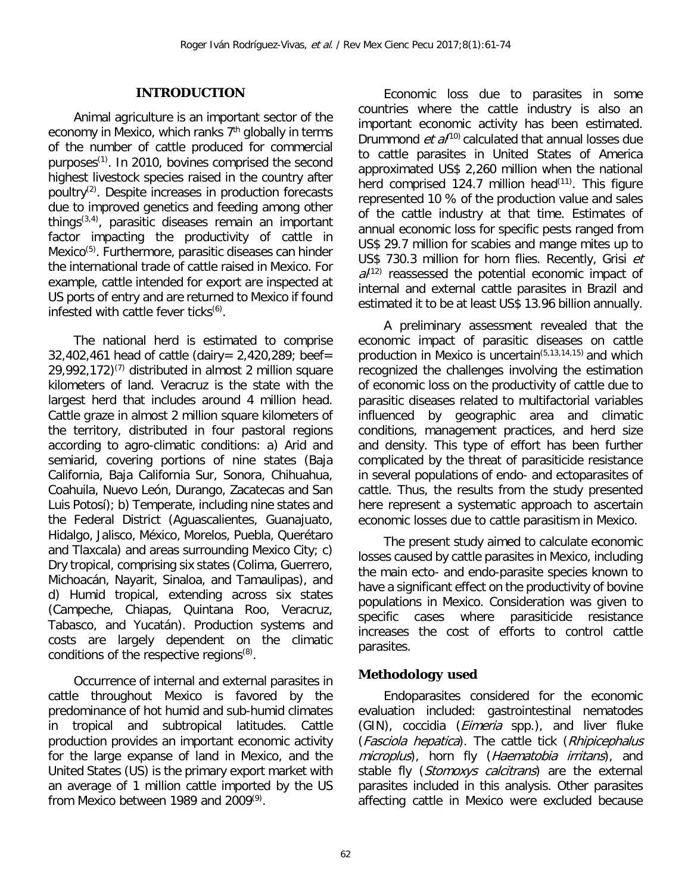#### **INTRODUCTION**

Animal agriculture is an important sector of the economy in Mexico, which ranks  $7<sup>th</sup>$  globally in terms of the number of cattle produced for commercial purposes<sup>(1)</sup>. In 2010, bovines comprised the second highest livestock species raised in the country after poultry $(2)$ . Despite increases in production forecasts due to improved genetics and feeding among other things(3,4) , parasitic diseases remain an important factor impacting the productivity of cattle in Mexico<sup>(5)</sup>. Furthermore, parasitic diseases can hinder the international trade of cattle raised in Mexico. For example, cattle intended for export are inspected at US ports of entry and are returned to Mexico if found infested with cattle fever ticks $(6)$ .

The national herd is estimated to comprise 32,402,461 head of cattle (dairy= 2,420,289; beef=  $29,992,172$ <sup>(7)</sup> distributed in almost 2 million square kilometers of land. Veracruz is the state with the largest herd that includes around 4 million head. Cattle graze in almost 2 million square kilometers of the territory, distributed in four pastoral regions according to agro-climatic conditions: a) Arid and semiarid, covering portions of nine states (Baja California, Baja California Sur, Sonora, Chihuahua, Coahuila, Nuevo León, Durango, Zacatecas and San Luis Potosí); b) Temperate, including nine states and the Federal District (Aguascalientes, Guanajuato, Hidalgo, Jalisco, México, Morelos, Puebla, Querétaro and Tlaxcala) and areas surrounding Mexico City; c) Dry tropical, comprising six states (Colima, Guerrero, Michoacán, Nayarit, Sinaloa, and Tamaulipas), and d) Humid tropical, extending across six states (Campeche, Chiapas, Quintana Roo, Veracruz, Tabasco, and Yucatán). Production systems and costs are largely dependent on the climatic conditions of the respective regions<sup>(8)</sup>.

Occurrence of internal and external parasites in cattle throughout Mexico is favored by the predominance of hot humid and sub-humid climates in tropical and subtropical latitudes. Cattle production provides an important economic activity for the large expanse of land in Mexico, and the United States (US) is the primary export market with an average of 1 million cattle imported by the US from Mexico between 1989 and 2009(9).

Economic loss due to parasites in some countries where the cattle industry is also an important economic activity has been estimated. Drummond  $et \frac{a}{100}$  calculated that annual losses due to cattle parasites in United States of America approximated US\$ 2,260 million when the national herd comprised 124.7 million head $(11)$ . This figure represented 10 % of the production value and sales of the cattle industry at that time. Estimates of annual economic loss for specific pests ranged from US\$ 29.7 million for scabies and mange mites up to US\$ 730.3 million for horn flies. Recently, Grisi et  $a^{(12)}$  reassessed the potential economic impact of internal and external cattle parasites in Brazil and estimated it to be at least US\$ 13.96 billion annually.

A preliminary assessment revealed that the economic impact of parasitic diseases on cattle production in Mexico is uncertain $(5,13,14,15)$  and which recognized the challenges involving the estimation of economic loss on the productivity of cattle due to parasitic diseases related to multifactorial variables influenced by geographic area and climatic conditions, management practices, and herd size and density. This type of effort has been further complicated by the threat of parasiticide resistance in several populations of endo- and ectoparasites of cattle. Thus, the results from the study presented here represent a systematic approach to ascertain economic losses due to cattle parasitism in Mexico.

The present study aimed to calculate economic losses caused by cattle parasites in Mexico, including the main ecto- and endo-parasite species known to have a significant effect on the productivity of bovine populations in Mexico. Consideration was given to specific cases where parasiticide resistance increases the cost of efforts to control cattle parasites.

## *Methodology used*

Endoparasites considered for the economic evaluation included: gastrointestinal nematodes (GIN), coccidia (Eimeria spp.), and liver fluke (Fasciola hepatica). The cattle tick (Rhipicephalus microplus), horn fly (Haematobia irritans), and stable fly (Stomoxys calcitrans) are the external parasites included in this analysis. Other parasites affecting cattle in Mexico were excluded because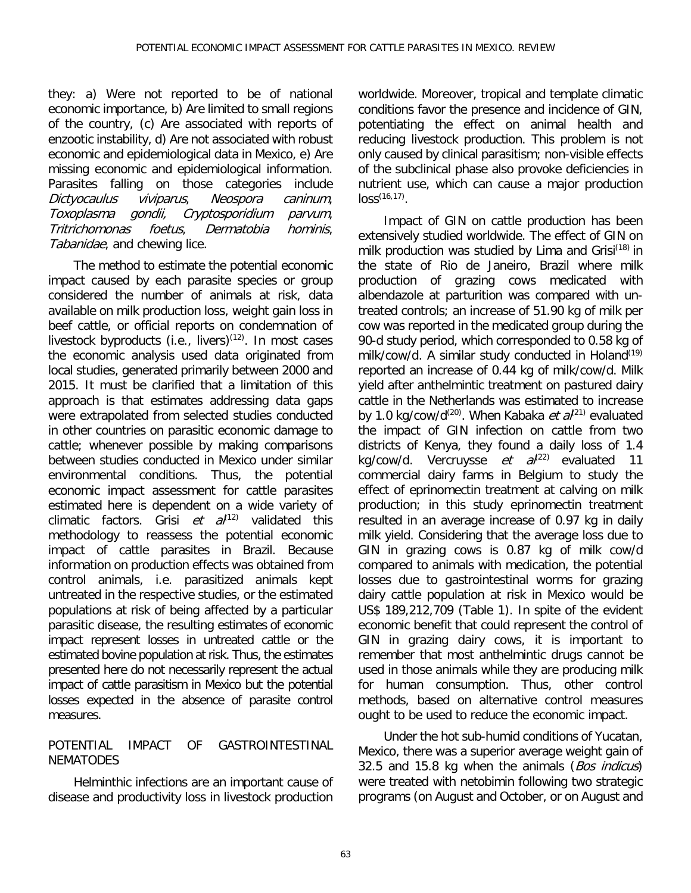they: a) Were not reported to be of national economic importance, b) Are limited to small regions of the country, (c) Are associated with reports of enzootic instability, d) Are not associated with robust economic and epidemiological data in Mexico, e) Are missing economic and epidemiological information. Parasites falling on those categories include<br>*Dictyocaulus viviparus, Neospora caninum*, Dictyocaulus Toxoplasma gondii, Cryptosporidium parvum,<br>Tritrichomonas foetus. Dermatobia hominis, Tritrichomonas foetus, Dermatobia hominis, Tabanidae, and chewing lice.

The method to estimate the potential economic impact caused by each parasite species or group considered the number of animals at risk, data available on milk production loss, weight gain loss in beef cattle, or official reports on condemnation of livestock byproducts (i.e., livers) $(12)$ . In most cases the economic analysis used data originated from local studies, generated primarily between 2000 and 2015. It must be clarified that a limitation of this approach is that estimates addressing data gaps were extrapolated from selected studies conducted in other countries on parasitic economic damage to cattle; whenever possible by making comparisons between studies conducted in Mexico under similar environmental conditions. Thus, the potential economic impact assessment for cattle parasites estimated here is dependent on a wide variety of climatic factors. Grisi et  $a^{(12)}$  validated this methodology to reassess the potential economic impact of cattle parasites in Brazil. Because information on production effects was obtained from control animals, i.e. parasitized animals kept untreated in the respective studies, or the estimated populations at risk of being affected by a particular parasitic disease, the resulting estimates of economic impact represent losses in untreated cattle or the estimated bovine population at risk. Thus, the estimates presented here do not necessarily represent the actual impact of cattle parasitism in Mexico but the potential losses expected in the absence of parasite control measures.

## POTENTIAL IMPACT OF GASTROINTESTINAL **NEMATODES**

Helminthic infections are an important cause of disease and productivity loss in livestock production

worldwide. Moreover, tropical and template climatic conditions favor the presence and incidence of GIN, potentiating the effect on animal health and reducing livestock production. This problem is not only caused by clinical parasitism; non-visible effects of the subclinical phase also provoke deficiencies in nutrient use, which can cause a major production  $loss^{(16,17)}$ .

Impact of GIN on cattle production has been extensively studied worldwide. The effect of GIN on milk production was studied by Lima and Grisi<sup>(18)</sup> in the state of Rio de Janeiro, Brazil where milk production of grazing cows medicated with albendazole at parturition was compared with untreated controls; an increase of 51.90 kg of milk per cow was reported in the medicated group during the 90-d study period, which corresponded to 0.58 kg of milk/cow/d. A similar study conducted in Holand<sup>(19)</sup> reported an increase of 0.44 kg of milk/cow/d. Milk yield after anthelmintic treatment on pastured dairy cattle in the Netherlands was estimated to increase by 1.0 kg/cow/d<sup>(20)</sup>. When Kabaka *et al*<sup>(21)</sup> evaluated the impact of GIN infection on cattle from two districts of Kenya, they found a daily loss of 1.4 kg/cow/d. Vercruysse et  $a^{(22)}$  evaluated 11 commercial dairy farms in Belgium to study the effect of eprinomectin treatment at calving on milk production; in this study eprinomectin treatment resulted in an average increase of 0.97 kg in daily milk yield. Considering that the average loss due to GIN in grazing cows is 0.87 kg of milk cow/d compared to animals with medication, the potential losses due to gastrointestinal worms for grazing dairy cattle population at risk in Mexico would be US\$ 189,212,709 (Table 1). In spite of the evident economic benefit that could represent the control of GIN in grazing dairy cows, it is important to remember that most anthelmintic drugs cannot be used in those animals while they are producing milk for human consumption. Thus, other control methods, based on alternative control measures ought to be used to reduce the economic impact.

Under the hot sub-humid conditions of Yucatan, Mexico, there was a superior average weight gain of 32.5 and 15.8 kg when the animals (Bos indicus) were treated with netobimin following two strategic programs (on August and October, or on August and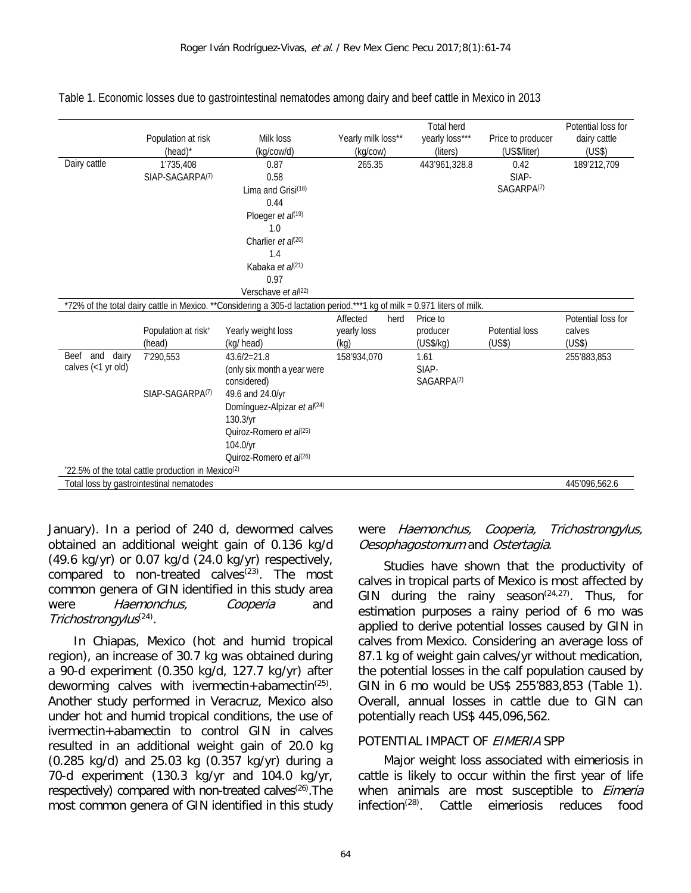|                                                           |                                                               |                                                                                                                          |                    | <b>Total herd</b>      |                   | Potential loss for |  |
|-----------------------------------------------------------|---------------------------------------------------------------|--------------------------------------------------------------------------------------------------------------------------|--------------------|------------------------|-------------------|--------------------|--|
|                                                           | Population at risk                                            | Milk loss                                                                                                                | Yearly milk loss** | yearly loss***         | Price to producer | dairy cattle       |  |
|                                                           | (head)*                                                       | (kg/cow/d)                                                                                                               | (kg/cow)           | (liters)               | (US\$/liter)      | (US\$)             |  |
| Dairy cattle                                              | 1'735,408                                                     | 0.87                                                                                                                     | 265.35             | 443'961,328.8          | 0.42              | 189'212,709        |  |
|                                                           | SIAP-SAGARPA <sup>(7)</sup>                                   | 0.58                                                                                                                     |                    |                        | SIAP-             |                    |  |
|                                                           |                                                               | Lima and Grisi <sup>(18)</sup>                                                                                           |                    |                        | SAGARPA(7)        |                    |  |
|                                                           |                                                               | 0.44                                                                                                                     |                    |                        |                   |                    |  |
|                                                           |                                                               | Ploeger et al(19)                                                                                                        |                    |                        |                   |                    |  |
|                                                           |                                                               | 1.0                                                                                                                      |                    |                        |                   |                    |  |
|                                                           |                                                               | Charlier et $a^{(20)}$                                                                                                   |                    |                        |                   |                    |  |
|                                                           |                                                               | 1.4                                                                                                                      |                    |                        |                   |                    |  |
|                                                           |                                                               | Kabaka et al(21)                                                                                                         |                    |                        |                   |                    |  |
|                                                           |                                                               | 0.97                                                                                                                     |                    |                        |                   |                    |  |
|                                                           |                                                               | Verschave et al(22)                                                                                                      |                    |                        |                   |                    |  |
|                                                           |                                                               | *72% of the total dairy cattle in Mexico. **Considering a 305-d lactation period.***1 kg of milk = 0.971 liters of milk. |                    |                        |                   |                    |  |
|                                                           |                                                               |                                                                                                                          | Affected<br>herd   | Price to               |                   | Potential loss for |  |
|                                                           | Population at risk+                                           | Yearly weight loss                                                                                                       | yearly loss        | producer               | Potential loss    | calves             |  |
|                                                           | (head)                                                        | (kg/ head)                                                                                                               | (kq)               | (US\$/kg)              | (US\$)            | (US\$)             |  |
| Beef and<br>dairy                                         | 7'290,553                                                     | $43.6/2=21.8$                                                                                                            | 158'934,070        | 1.61                   |                   | 255'883,853        |  |
| calves (<1 yr old)                                        |                                                               | (only six month a year were                                                                                              |                    | SIAP-                  |                   |                    |  |
|                                                           |                                                               | considered)                                                                                                              |                    | SAGARPA <sup>(7)</sup> |                   |                    |  |
|                                                           | SIAP-SAGARPA <sup>(7)</sup>                                   | 49.6 and 24.0/yr                                                                                                         |                    |                        |                   |                    |  |
|                                                           |                                                               | Domínguez-Alpizar et al(24)                                                                                              |                    |                        |                   |                    |  |
|                                                           |                                                               | 130.3/yr                                                                                                                 |                    |                        |                   |                    |  |
|                                                           |                                                               | Quiroz-Romero et al(25)                                                                                                  |                    |                        |                   |                    |  |
|                                                           |                                                               | 104.0/yr                                                                                                                 |                    |                        |                   |                    |  |
|                                                           |                                                               | Quiroz-Romero et al(26)                                                                                                  |                    |                        |                   |                    |  |
|                                                           | 22.5% of the total cattle production in Mexico <sup>(2)</sup> |                                                                                                                          |                    |                        |                   |                    |  |
| Total loss by gastrointestinal nematodes<br>445'096,562.6 |                                                               |                                                                                                                          |                    |                        |                   |                    |  |

Table 1. Economic losses due to gastrointestinal nematodes among dairy and beef cattle in Mexico in 2013

January). In a period of 240 d, dewormed calves obtained an additional weight gain of 0.136 kg/d (49.6 kg/yr) or 0.07 kg/d (24.0 kg/yr) respectively, compared to non-treated calves $(23)$ . The most common genera of GIN identified in this study area were Haemonchus, Cooperia and Trichostrongylus<sup>(24)</sup>.

In Chiapas, Mexico (hot and humid tropical region), an increase of 30.7 kg was obtained during a 90-d experiment (0.350 kg/d, 127.7 kg/yr) after deworming calves with ivermectin+abamectin<sup>(25)</sup>. Another study performed in Veracruz, Mexico also under hot and humid tropical conditions, the use of ivermectin+abamectin to control GIN in calves resulted in an additional weight gain of 20.0 kg (0.285 kg/d) and 25.03 kg (0.357 kg/yr) during a 70-d experiment (130.3 kg/yr and 104.0 kg/yr, respectively) compared with non-treated calves<sup>(26)</sup>. The most common genera of GIN identified in this study

## were Haemonchus, Cooperia, Trichostrongylus, Oesophagostomum and Ostertagia.

Studies have shown that the productivity of calves in tropical parts of Mexico is most affected by GIN during the rainy season<sup> $(24,27)$ </sup>. Thus, for estimation purposes a rainy period of 6 mo was applied to derive potential losses caused by GIN in calves from Mexico. Considering an average loss of 87.1 kg of weight gain calves/yr without medication, the potential losses in the calf population caused by GIN in 6 mo would be US\$ 255'883,853 (Table 1). Overall, annual losses in cattle due to GIN can potentially reach US\$ 445,096,562.

#### POTENTIAL IMPACT OF EIMERIA SPP

Major weight loss associated with eimeriosis in cattle is likely to occur within the first year of life when animals are most susceptible to *Eimeria*  $infection<sup>(28)</sup>$ . Cattle eimeriosis reduces food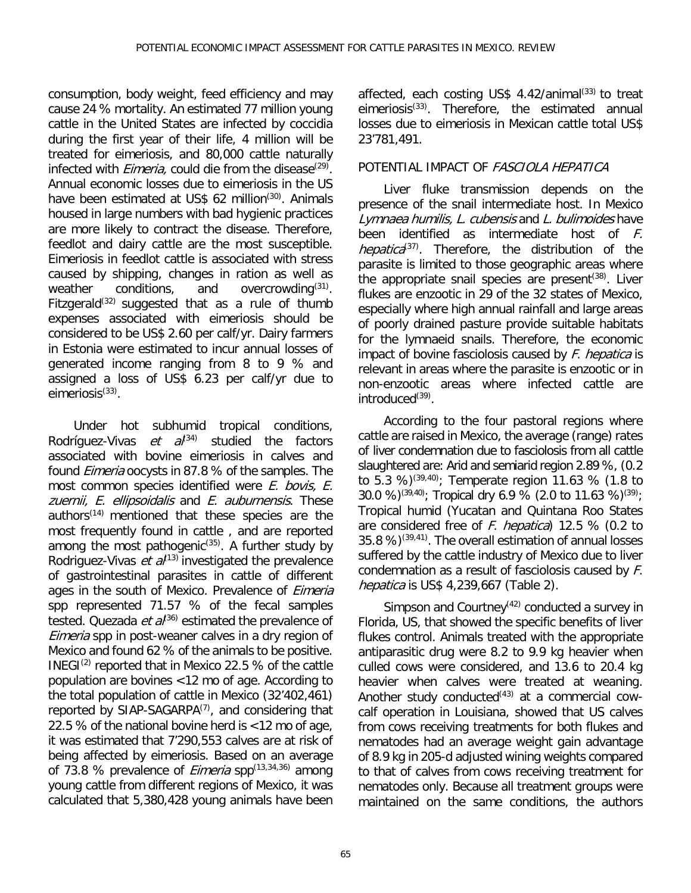consumption, body weight, feed efficiency and may cause 24 % mortality. An estimated 77 million young cattle in the United States are infected by coccidia during the first year of their life, 4 million will be treated for eimeriosis, and 80,000 cattle naturally infected with *Eimeria*, could die from the disease<sup>(29)</sup>. Annual economic losses due to eimeriosis in the US have been estimated at US\$ 62 million<sup>(30)</sup>. Animals housed in large numbers with bad hygienic practices are more likely to contract the disease. Therefore, feedlot and dairy cattle are the most susceptible. Eimeriosis in feedlot cattle is associated with stress caused by shipping, changes in ration as well as weather conditions. and overcrowding<sup>(31)</sup>. weather conditions, and overcrowding $(31)$ . Fitzgerald<sup>(32)</sup> suggested that as a rule of thumb expenses associated with eimeriosis should be considered to be US\$ 2.60 per calf/yr. Dairy farmers in Estonia were estimated to incur annual losses of generated income ranging from 8 to 9 % and assigned a loss of US\$ 6.23 per calf/yr due to  $e$ imeriosis $(33)$ .

Under hot subhumid tropical conditions, Rodríguez-Vivas et  $a^{(34)}$  studied the factors associated with bovine eimeriosis in calves and found Eimeria oocysts in 87.8 % of the samples. The most common species identified were E. bovis, E. zuernii, E. ellipsoidalis and E. auburnensis. These authors<sup>(14)</sup> mentioned that these species are the most frequently found in cattle , and are reported among the most pathogenic<sup>(35)</sup>. A further study by Rodriguez-Vivas et  $a^{(13)}$  investigated the prevalence of gastrointestinal parasites in cattle of different ages in the south of Mexico. Prevalence of Eimeria spp represented 71.57 % of the fecal samples tested. Quezada *et al*<sup>36)</sup> estimated the prevalence of Eimeria spp in post-weaner calves in a dry region of Mexico and found 62 % of the animals to be positive. INEGI $^{(2)}$  reported that in Mexico 22.5 % of the cattle population are bovines <12 mo of age. According to the total population of cattle in Mexico (32'402,461) reported by SIAP-SAGARPA $(7)$ , and considering that 22.5 % of the national bovine herd is <12 mo of age, it was estimated that 7'290,553 calves are at risk of being affected by eimeriosis. Based on an average of 73.8 % prevalence of *Eimeria* spp $(13,34,36)$  among young cattle from different regions of Mexico, it was calculated that 5,380,428 young animals have been affected, each costing US\$  $4.42$ /animal<sup>(33)</sup> to treat eimeriosis(33). Therefore, the estimated annual losses due to eimeriosis in Mexican cattle total US\$ 23'781,491.

## POTENTIAL IMPACT OF FASCIOLA HEPATICA

Liver fluke transmission depends on the presence of the snail intermediate host. In Mexico Lymnaea humilis, L. cubensis and L. bulimoides have been identified as intermediate host of F. *hepatica*<sup>(37)</sup>. Therefore, the distribution of the parasite is limited to those geographic areas where the appropriate snail species are present<sup> $(38)$ </sup>. Liver flukes are enzootic in 29 of the 32 states of Mexico, especially where high annual rainfall and large areas of poorly drained pasture provide suitable habitats for the lymnaeid snails. Therefore, the economic impact of bovine fasciolosis caused by  $F$ . *hepatica* is relevant in areas where the parasite is enzootic or in non-enzootic areas where infected cattle are  $introduced<sup>(39)</sup>$ .

According to the four pastoral regions where cattle are raised in Mexico, the average (range) rates of liver condemnation due to fasciolosis from all cattle slaughtered are: Arid and semiarid region 2.89 %, (0.2 to 5.3 %)(39,40); Temperate region 11.63 % (1.8 to 30.0 %)<sup>(39,40)</sup>; Tropical dry 6.9 % (2.0 to 11.63 %)<sup>(39)</sup>; Tropical humid (Yucatan and Quintana Roo States are considered free of F. hepatica) 12.5 % (0.2 to 35.8 %)(39,41). The overall estimation of annual losses suffered by the cattle industry of Mexico due to liver condemnation as a result of fasciolosis caused by F. hepatica is US\$ 4,239,667 (Table 2).

Simpson and Courtney $(42)$  conducted a survey in Florida, US, that showed the specific benefits of liver flukes control. Animals treated with the appropriate antiparasitic drug were 8.2 to 9.9 kg heavier when culled cows were considered, and 13.6 to 20.4 kg heavier when calves were treated at weaning. Another study conducted<sup> $(43)$ </sup> at a commercial cowcalf operation in Louisiana, showed that US calves from cows receiving treatments for both flukes and nematodes had an average weight gain advantage of 8.9 kg in 205-d adjusted wining weights compared to that of calves from cows receiving treatment for nematodes only. Because all treatment groups were maintained on the same conditions, the authors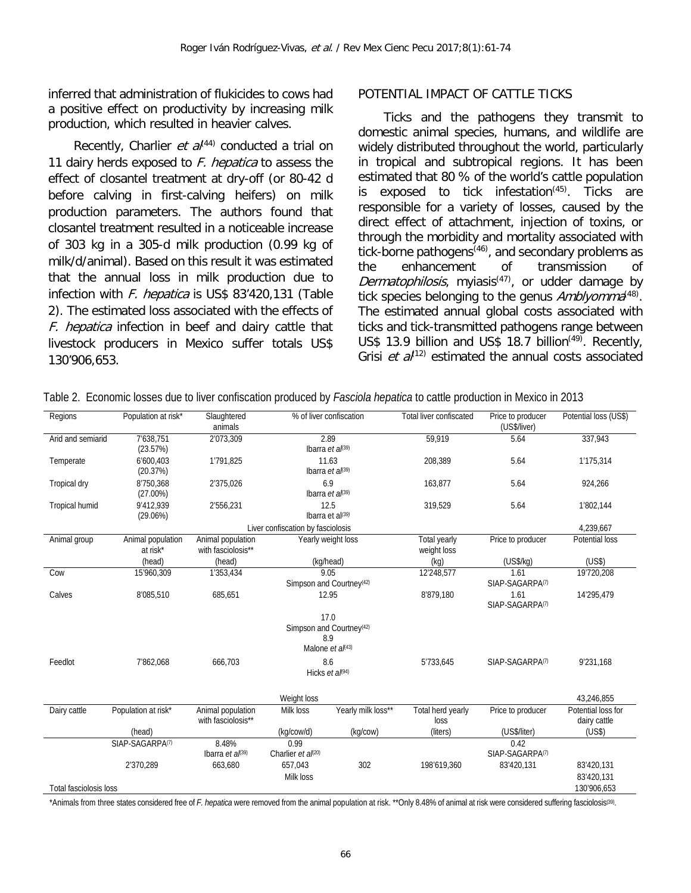inferred that administration of flukicides to cows had a positive effect on productivity by increasing milk production, which resulted in heavier calves.

Recently, Charlier et  $a^{(44)}$  conducted a trial on 11 dairy herds exposed to  $F$ . hepatica to assess the effect of closantel treatment at dry-off (or 80-42 d before calving in first-calving heifers) on milk production parameters. The authors found that closantel treatment resulted in a noticeable increase of 303 kg in a 305-d milk production (0.99 kg of milk/d/animal). Based on this result it was estimated that the annual loss in milk production due to infection with F. hepatica is US\$ 83'420,131 (Table 2). The estimated loss associated with the effects of F. hepatica infection in beef and dairy cattle that livestock producers in Mexico suffer totals US\$ 130'906,653.

#### POTENTIAL IMPACT OF CATTLE TICKS

Ticks and the pathogens they transmit to domestic animal species, humans, and wildlife are widely distributed throughout the world, particularly in tropical and subtropical regions. It has been estimated that 80 % of the world's cattle population is exposed to tick infestation $(45)$ . Ticks are responsible for a variety of losses, caused by the direct effect of attachment, injection of toxins, or through the morbidity and mortality associated with tick-borne pathogens<sup> $(46)$ </sup>, and secondary problems as<br>the enhancement of transmission of the enhancement of transmission of Dermatophilosis, myiasis<sup>(47)</sup>, or udder damage by tick species belonging to the genus  $Amblyomma^{(48)}$ . The estimated annual global costs associated with ticks and tick-transmitted pathogens range between US\$ 13.9 billion and US\$ 18.7 billion<sup> $(49)$ </sup>. Recently, Grisi *et a* $\ell^{12}$  estimated the annual costs associated

| Regions                | Population at risk*           | Slaughtered<br>animals                  | % of liver confiscation                      |                                              | <b>Total liver confiscated</b> | Price to producer<br>(US\$/liver) | Potential loss (US\$)              |
|------------------------|-------------------------------|-----------------------------------------|----------------------------------------------|----------------------------------------------|--------------------------------|-----------------------------------|------------------------------------|
| Arid and semiarid      | 7'638.751<br>(23.57%)         | 2'073,309                               | 2.89<br>Ibarra et $a^{(39)}$                 |                                              | 59.919                         | 5.64                              | 337.943                            |
| Temperate              | 6'600,403<br>(20.37%)         | 1'791,825                               |                                              | 11.63<br>Ibarra et $a^{(39)}$                |                                | 5.64                              | 1'175,314                          |
| <b>Tropical dry</b>    | 8'750,368<br>$(27.00\%)$      | 2'375,026                               | 6.9                                          | Ibarra et al(39)                             | 163,877                        | 5.64                              | 924,266                            |
| <b>Tropical humid</b>  | 9'412,939<br>(29.06%)         | 2'556,231                               |                                              | 12.5<br>Ibarra et al $(39)$                  |                                | 5.64                              | 1'802,144                          |
|                        |                               |                                         | Liver confiscation by fasciolosis            |                                              |                                |                                   | 4,239,667                          |
| Animal group           | Animal population<br>at risk* | Animal population<br>with fasciolosis** | Yearly weight loss                           |                                              | Total yearly<br>weight loss    | Price to producer                 | Potential loss                     |
|                        | (head)                        | (head)                                  | (kg/head)                                    |                                              | (kg)                           | (US\$/kg)                         | (US\$)                             |
| Cow                    | 15'960,309                    | 1'353,434                               | 9.05<br>Simpson and Courtney <sup>(42)</sup> |                                              | 12'248,577                     | 1.61<br>SIAP-SAGARPA(7)           | 19'720,208                         |
| Calves                 | 8'085,510                     | 685,651                                 | 12.95                                        |                                              | 8'879,180                      | 1.61<br>SIAP-SAGARPA(7)           | 14'295,479                         |
|                        |                               |                                         | 17.0<br>8.9                                  | Simpson and Courtney(42)<br>Malone et al(43) |                                |                                   |                                    |
| Feedlot                | 7'862,068                     | 666,703                                 | Hicks et al(94)                              | 8.6                                          | 5'733,645                      | SIAP-SAGARPA(7)                   | 9'231,168                          |
|                        |                               |                                         | Weight loss                                  |                                              |                                |                                   | 43,246,855                         |
| Dairy cattle           | Population at risk*           | Animal population<br>with fasciolosis** | Milk loss                                    | Yearly milk loss**                           | Total herd yearly<br>loss      | Price to producer                 | Potential loss for<br>dairy cattle |
|                        | (head)                        |                                         | (kg/cow/d)                                   | (kg/cow)                                     | (liters)                       | (US\$/liter)                      | (US\$)                             |
|                        | SIAP-SAGARPA(7)               | 8.48%<br>Ibarra et $a^{(39)}$           | 0.99<br>Charlier et al(20)                   |                                              |                                | 0.42<br>SIAP-SAGARPA(7)           |                                    |
|                        | 2'370,289                     | 663,680                                 | 657.043<br>Milk loss                         | 302                                          | 198'619,360                    | 83'420,131                        | 83'420,131<br>83'420,131           |
| Total fasciolosis loss |                               |                                         |                                              |                                              |                                |                                   | 130'906,653                        |

Table 2. Economic losses due to liver confiscation produced by *Fasciola hepatica* to cattle production in Mexico in 2013

\*Animals from three states considered free of *F. hepatica* were removed from the animal population at risk. \*\*Only 8.48% of animal at risk were considered suffering fasciolosis(39).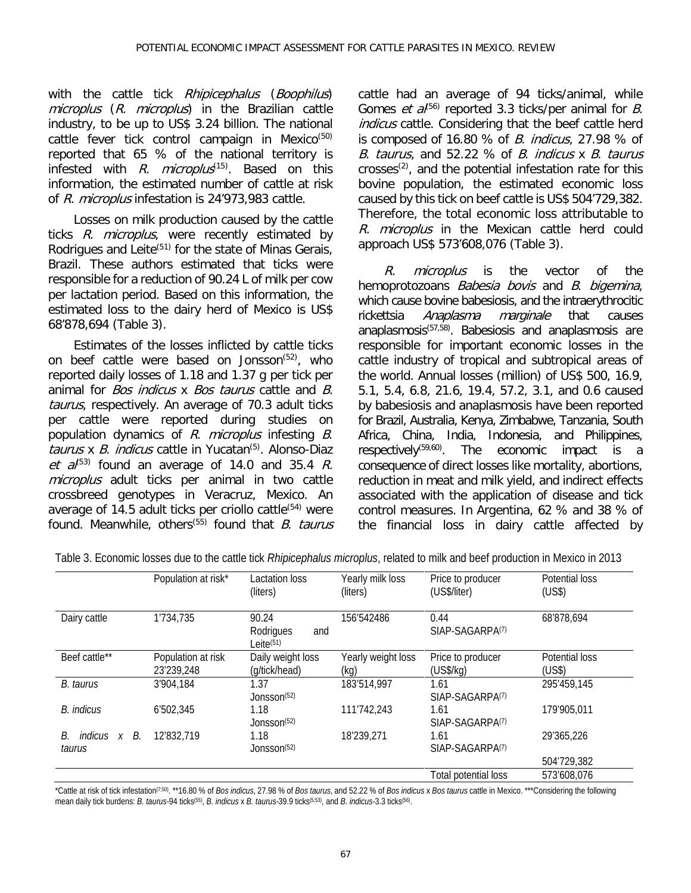with the cattle tick Rhipicephalus (Boophilus) microplus (R. microplus) in the Brazilian cattle industry, to be up to US\$ 3.24 billion. The national cattle fever tick control campaign in Mexico<sup>(50)</sup> reported that 65 % of the national territory is infested with R. microplus<sup>(15)</sup>. Based on this information, the estimated number of cattle at risk of R. microplus infestation is 24'973,983 cattle.

Losses on milk production caused by the cattle ticks R. microplus, were recently estimated by Rodrigues and Leite<sup> $(51)$ </sup> for the state of Minas Gerais, Brazil. These authors estimated that ticks were responsible for a reduction of 90.24 L of milk per cow per lactation period. Based on this information, the estimated loss to the dairy herd of Mexico is US\$ 68'878,694 (Table 3).

Estimates of the losses inflicted by cattle ticks on beef cattle were based on Jonsson<sup>(52)</sup>, who reported daily losses of 1.18 and 1.37 g per tick per animal for Bos indicus x Bos taurus cattle and B. taurus, respectively. An average of 70.3 adult ticks per cattle were reported during studies on population dynamics of R. microplus infesting B. taurus x  $B$ . *indicus* cattle in Yucatan<sup>(5)</sup>. Alonso-Diaz et  $a^{(53)}$  found an average of 14.0 and 35.4 R. microplus adult ticks per animal in two cattle crossbreed genotypes in Veracruz, Mexico. An average of 14.5 adult ticks per criollo cattle $(54)$  were found. Meanwhile, others<sup>(55)</sup> found that  $B$ . taurus cattle had an average of 94 ticks/animal, while Gomes *et a*<sup> $(56)$ </sup> reported 3.3 ticks/per animal for *B*. indicus cattle. Considering that the beef cattle herd is composed of 16.80  $%$  of *B. indicus,* 27.98  $%$  of B. taurus, and 52.22 % of B. indicus x B. taurus  $crosses<sup>(2)</sup>$ , and the potential infestation rate for this bovine population, the estimated economic loss caused by this tick on beef cattle is US\$ 504'729,382. Therefore, the total economic loss attributable to R. microplus in the Mexican cattle herd could approach US\$ 573'608,076 (Table 3).

R. microplus is the vector of the hemoprotozoans *Babesia bovis* and *B. bigemina*, which cause bovine babesiosis, and the intraerythrocitic<br>rickettsia Anaplasma marginale that causes marginale that causes anaplasmosis(57,58). Babesiosis and anaplasmosis are responsible for important economic losses in the cattle industry of tropical and subtropical areas of the world. Annual losses (million) of US\$ 500, 16.9, 5.1, 5.4, 6.8, 21.6, 19.4, 57.2, 3.1, and 0.6 caused by babesiosis and anaplasmosis have been reported for Brazil, Australia, Kenya, Zimbabwe, Tanzania, South Africa, China, India, Indonesia, and Philippines, respectively(59,60). The economic impact is a consequence of direct losses like mortality, abortions, reduction in meat and milk yield, and indirect effects associated with the application of disease and tick control measures. In Argentina, 62 % and 38 % of the financial loss in dairy cattle affected by

|                                 | Population at risk*              | Lactation loss<br>(liters)                | Yearly milk loss<br>(liters) | Price to producer<br>(US\$/liter)   | Potential loss<br>(US\$) |
|---------------------------------|----------------------------------|-------------------------------------------|------------------------------|-------------------------------------|--------------------------|
| Dairy cattle                    | 1'734,735                        | 90.24<br>Rodrigues<br>and<br>Leite $(51)$ | 156'542486                   | 0.44<br>SIAP-SAGARPA(7)             | 68'878,694               |
| Beef cattle**                   | Population at risk<br>23'239.248 | Daily weight loss<br>(g/tick/head)        | Yearly weight loss<br>(kg)   | Price to producer<br>(US\$/kg)      | Potential loss<br>(US\$) |
| B. taurus                       | 3'904,184                        | 1.37<br>Jonsson <sup>(52)</sup>           | 183'514,997                  | 1.61<br>SIAP-SAGARPA <sub>(7)</sub> | 295'459,145              |
| <b>B.</b> indicus               | 6'502,345                        | 1.18<br>Jonsson <sup>(52)</sup>           | 111'742,243                  | 1.61<br>SIAP-SAGARPA(7)             | 179'905,011              |
| indicus x<br>В.<br>В.<br>taurus | 12'832,719                       | 1.18<br>Jonsson <sup>(52)</sup>           | 18'239,271                   | 1.61<br>SIAP-SAGARPA(7)             | 29'365,226               |
|                                 |                                  |                                           |                              |                                     | 504'729,382              |
|                                 |                                  |                                           |                              | Total potential loss                | 573'608.076              |

Table 3. Economic losses due to the cattle tick *Rhipicephalus microplus*, related to milk and beef production in Mexico in 2013

\*Cattle at risk of tick infestation(7;50). \*\*16.80 % of *Bos indicus*, 27.98 % of *Bos taurus*, and 52.22 % of *Bos indicus* x *Bos taurus* cattle in Mexico. \*\*\*Considering the following mean daily tick burdens: *B. taurus-*94 ticks(55), *B. indicus* x *B. taurus-*39.9 ticks(5;53), and *B. indicus-*3.3 ticks(56).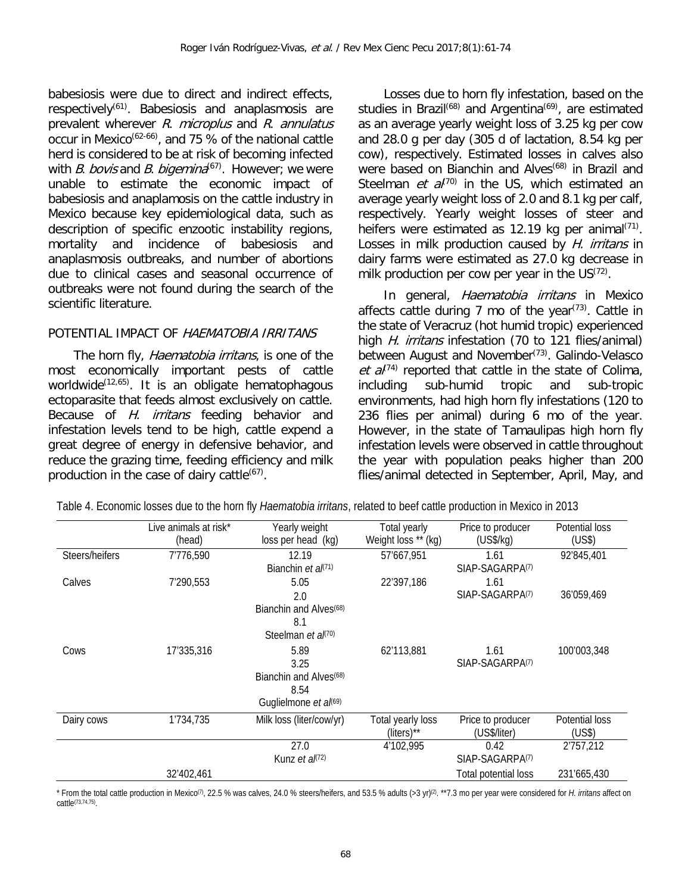babesiosis were due to direct and indirect effects, respectively<sup>( $61$ )</sup>. Babesiosis and anaplasmosis are prevalent wherever R. microplus and R. annulatus occur in Mexico<sup>(62-66)</sup>, and 75  $%$  of the national cattle herd is considered to be at risk of becoming infected with B. bovis and B. bigemina<sup>(67)</sup>. However; we were unable to estimate the economic impact of babesiosis and anaplamosis on the cattle industry in Mexico because key epidemiological data, such as description of specific enzootic instability regions, mortality and incidence of babesiosis and anaplasmosis outbreaks, and number of abortions due to clinical cases and seasonal occurrence of outbreaks were not found during the search of the scientific literature.

#### POTENTIAL IMPACT OF HAEMATOBIA IRRITANS

The horn fly, *Haematobia irritans*, is one of the most economically important pests of cattle worldwide<sup>(12,65)</sup>. It is an obligate hematophagous ectoparasite that feeds almost exclusively on cattle. Because of H. irritans feeding behavior and infestation levels tend to be high, cattle expend a great degree of energy in defensive behavior, and reduce the grazing time, feeding efficiency and milk production in the case of dairy cattle ${}^{(67)}$ .

Losses due to horn fly infestation, based on the studies in Brazil<sup>(68)</sup> and Argentina<sup>(69)</sup>, are estimated as an average yearly weight loss of 3.25 kg per cow and 28.0 g per day (305 d of lactation, 8.54 kg per cow), respectively. Estimated losses in calves also were based on Bianchin and Alves<sup>(68)</sup> in Brazil and Steelman *et al*<sup>(70)</sup> in the US, which estimated an average yearly weight loss of 2.0 and 8.1 kg per calf, respectively. Yearly weight losses of steer and heifers were estimated as 12.19 kg per animal $(71)$ . Losses in milk production caused by H. irritans in dairy farms were estimated as 27.0 kg decrease in milk production per cow per year in the  $US^{(72)}$ .

In general, Haematobia irritans in Mexico affects cattle during 7 mo of the year<sup> $(73)$ </sup>. Cattle in the state of Veracruz (hot humid tropic) experienced high H. irritans infestation (70 to 121 flies/animal) between August and November<sup>(73)</sup>. Galindo-Velasco et  $a^{(74)}$  reported that cattle in the state of Colima, including sub-humid tropic and sub-tropic environments, had high horn fly infestations (120 to 236 flies per animal) during 6 mo of the year. However, in the state of Tamaulipas high horn fly infestation levels were observed in cattle throughout the year with population peaks higher than 200 flies/animal detected in September, April, May, and

|                | Live animals at risk*<br>(head) | Yearly weight<br>loss per head (kg)                                                 | Total yearly<br>Weight loss ** (kg) | Price to producer<br>(US\$/kg)      | Potential loss<br>(US\$) |
|----------------|---------------------------------|-------------------------------------------------------------------------------------|-------------------------------------|-------------------------------------|--------------------------|
| Steers/heifers | 7′776.590                       | 12.19<br>Bianchin et $a^{(71)}$                                                     | 57'667,951                          | 1.61<br>SIAP-SAGARPA(7)             | 92'845,401               |
| Calves         | 7'290,553                       | 5.05<br>2.0<br>Bianchin and Alves <sup>(68)</sup><br>8.1<br>Steelman et al(70)      | 22'397,186                          | 1.61<br>SIAP-SAGARPA(7)             | 36'059,469               |
| Cows           | 17'335,316                      | 5.89<br>3.25<br>Bianchin and Alves <sup>(68)</sup><br>8.54<br>Guglielmone et al(69) | 62'113,881                          | 1.61<br>SIAP-SAGARPA(7)             | 100'003,348              |
| Dairy cows     | 1′734,735                       | Milk loss (liter/cow/yr)                                                            | Total yearly loss<br>(liters)**     | Price to producer<br>(US\$/liter)   | Potential loss<br>(US\$) |
|                |                                 | 27.0<br>Kunz <i>et al</i> <sup><math>(72)</math></sup>                              | 4'102,995                           | 0.42<br>SIAP-SAGARPA <sup>(7)</sup> | 2'757,212                |
|                | 32'402,461                      |                                                                                     |                                     | Total potential loss                | 231'665,430              |

Table 4. Economic losses due to the horn fly *Haematobia irritans*, related to beef cattle production in Mexico in 2013

\* From the total cattle production in Mexico<sup>(7)</sup>, 22.5 % was calves, 24.0 % steers/heifers, and 53.5 % adults (>3 yr)<sup>(2)</sup>. \*\*7.3 mo per year were considered for *H. irritans* affect on cattle(73,74,75).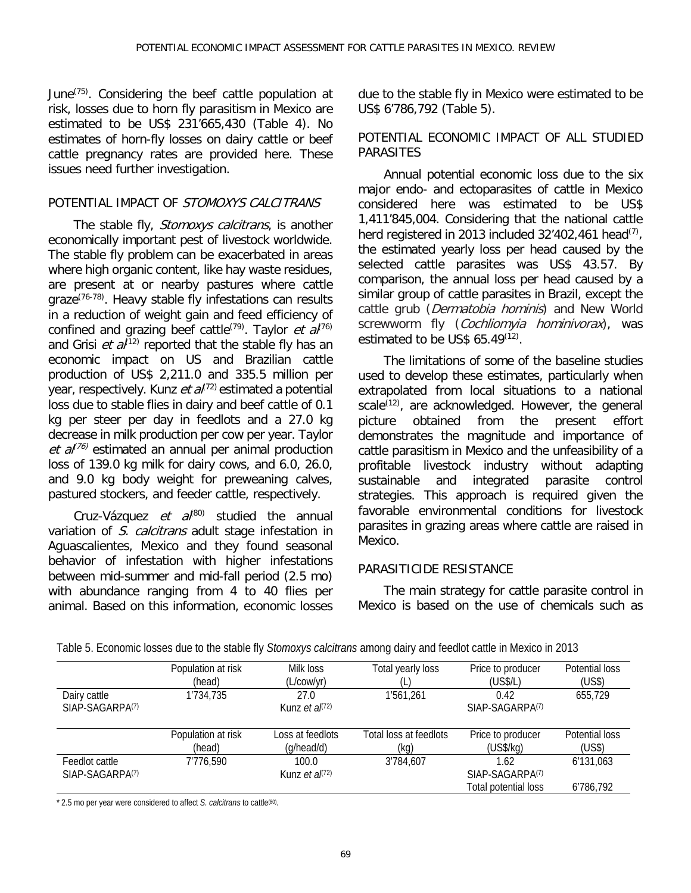June(75). Considering the beef cattle population at risk, losses due to horn fly parasitism in Mexico are estimated to be US\$ 231'665,430 (Table 4). No estimates of horn-fly losses on dairy cattle or beef cattle pregnancy rates are provided here. These issues need further investigation.

#### POTENTIAL IMPACT OF STOMOXYS CALCITRANS

The stable fly, Stomoxys calcitrans, is another economically important pest of livestock worldwide. The stable fly problem can be exacerbated in areas where high organic content, like hay waste residues, are present at or nearby pastures where cattle graze<sup>(76-78)</sup>. Heavy stable fly infestations can results in a reduction of weight gain and feed efficiency of confined and grazing beef cattle<sup>(79)</sup>. Taylor et  $a^{(76)}$ and Grisi et  $a^{(12)}$  reported that the stable fly has an economic impact on US and Brazilian cattle production of US\$ 2,211.0 and 335.5 million per year, respectively. Kunz et  $a^{1/2}$  estimated a potential loss due to stable flies in dairy and beef cattle of 0.1 kg per steer per day in feedlots and a 27.0 kg decrease in milk production per cow per year. Taylor et  $a^{(76)}$  estimated an annual per animal production loss of 139.0 kg milk for dairy cows, and 6.0, 26.0, and 9.0 kg body weight for preweaning calves, pastured stockers, and feeder cattle, respectively.

Cruz-Vázquez et  $a^{(80)}$  studied the annual variation of S. calcitrans adult stage infestation in Aguascalientes, Mexico and they found seasonal behavior of infestation with higher infestations between mid-summer and mid-fall period (2.5 mo) with abundance ranging from 4 to 40 flies per animal. Based on this information, economic losses due to the stable fly in Mexico were estimated to be US\$ 6'786,792 (Table 5).

#### POTENTIAL ECONOMIC IMPACT OF ALL STUDIED **PARASITES**

Annual potential economic loss due to the six major endo- and ectoparasites of cattle in Mexico considered here was estimated to be US\$ 1,411'845,004. Considering that the national cattle herd registered in 2013 included  $32'402'461$  head<sup>(7)</sup>, the estimated yearly loss per head caused by the selected cattle parasites was US\$ 43.57. By comparison, the annual loss per head caused by a similar group of cattle parasites in Brazil, except the cattle grub (Dermatobia hominis) and New World screwworm fly (Cochliomyia hominivorax), was estimated to be US\$  $65.49^{(12)}$ .

The limitations of some of the baseline studies used to develop these estimates, particularly when extrapolated from local situations to a national scale $^{(12)}$ , are acknowledged. However, the general picture obtained from the present effort demonstrates the magnitude and importance of cattle parasitism in Mexico and the unfeasibility of a profitable livestock industry without adapting and integrated parasite control strategies. This approach is required given the favorable environmental conditions for livestock parasites in grazing areas where cattle are raised in Mexico.

## PARASITICIDE RESISTANCE

The main strategy for cattle parasite control in Mexico is based on the use of chemicals such as

|                                               | Population at risk<br>(head) | Milk loss<br>(L/cow/yr)        | Total yearly loss              | Price to producer<br>(US\$/L)                               | Potential loss<br>(US\$) |
|-----------------------------------------------|------------------------------|--------------------------------|--------------------------------|-------------------------------------------------------------|--------------------------|
| Dairy cattle<br>SIAP-SAGARPA(7)               | 1'734,735                    | 27.0<br>Kunz et $a^{(72)}$     | 1'561,261                      | 0.42<br>SIAP-SAGARPA <sup>(7)</sup>                         | 655,729                  |
|                                               | Population at risk<br>(head) | Loss at feedlots<br>(q/head/d) | Total loss at feedlots<br>(kg) | Price to producer<br>(US\$/kg)                              | Potential loss<br>(US\$) |
| Feedlot cattle<br>SIAP-SAGARPA <sub>(7)</sub> | 7'776,590                    | 100.0<br>Kunz et $a^{(72)}$    | 3'784,607                      | 1.62<br>SIAP-SAGARPA <sub>(7)</sub><br>Total potential loss | 6'131,063<br>6'786,792   |

Table 5. Economic losses due to the stable fly *Stomoxys calcitrans* among dairy and feedlot cattle in Mexico in 2013

\* 2.5 mo per year were considered to affect *S. calcitrans* to cattle(80).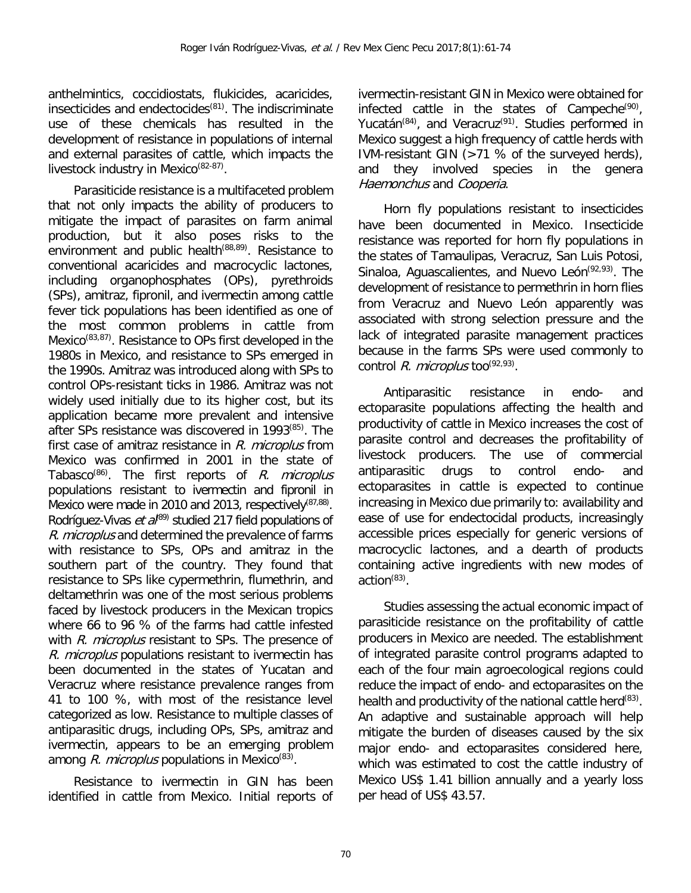anthelmintics, coccidiostats, flukicides, acaricides, insecticides and endectocides<sup>(81)</sup>. The indiscriminate use of these chemicals has resulted in the development of resistance in populations of internal and external parasites of cattle, which impacts the livestock industry in Mexico<sup>(82-87)</sup>.

Parasiticide resistance is a multifaceted problem that not only impacts the ability of producers to mitigate the impact of parasites on farm animal production, but it also poses risks to the environment and public health<sup>(88,89)</sup>. Resistance to conventional acaricides and macrocyclic lactones, including organophosphates (OPs), pyrethroids (SPs), amitraz, fipronil, and ivermectin among cattle fever tick populations has been identified as one of the most common problems in cattle from Mexico<sup>(83,87)</sup>. Resistance to OPs first developed in the 1980s in Mexico, and resistance to SPs emerged in the 1990s. Amitraz was introduced along with SPs to control OPs-resistant ticks in 1986. Amitraz was not widely used initially due to its higher cost, but its application became more prevalent and intensive after SPs resistance was discovered in 1993(85) . The first case of amitraz resistance in  $R$ . microplus from Mexico was confirmed in 2001 in the state of Tabasco<sup>(86)</sup>. The first reports of *R. microplus* populations resistant to ivermectin and fipronil in Mexico were made in 2010 and 2013, respectively<sup>(87,88)</sup>. Rodríguez-Vivas et  $a^{(89)}$  studied 217 field populations of R. microplus and determined the prevalence of farms with resistance to SPs, OPs and amitraz in the southern part of the country. They found that resistance to SPs like cypermethrin, flumethrin, and deltamethrin was one of the most serious problems faced by livestock producers in the Mexican tropics where 66 to 96 % of the farms had cattle infested with R. microplus resistant to SPs. The presence of R. microplus populations resistant to ivermectin has been documented in the states of Yucatan and Veracruz where resistance prevalence ranges from 41 to 100 %, with most of the resistance level categorized as low. Resistance to multiple classes of antiparasitic drugs, including OPs, SPs, amitraz and ivermectin, appears to be an emerging problem among *R. microplus* populations in Mexico<sup>(83)</sup>.

Resistance to ivermectin in GIN has been identified in cattle from Mexico. Initial reports of

ivermectin-resistant GIN in Mexico were obtained for infected cattle in the states of Campeche<sup>(90)</sup>, Yucatán<sup>(84)</sup>, and Veracruz<sup>(91)</sup>. Studies performed in Mexico suggest a high frequency of cattle herds with IVM-resistant GIN (>71 % of the surveyed herds), and they involved species in the genera Haemonchus and Cooperia.

Horn fly populations resistant to insecticides have been documented in Mexico. Insecticide resistance was reported for horn fly populations in the states of Tamaulipas, Veracruz, San Luis Potosi, Sinaloa, Aguascalientes, and Nuevo León<sup>(92,93)</sup>. The development of resistance to permethrin in horn flies from Veracruz and Nuevo León apparently was associated with strong selection pressure and the lack of integrated parasite management practices because in the farms SPs were used commonly to control *R. microplus* too<sup>(92,93)</sup>.

Antiparasitic resistance in endo- and ectoparasite populations affecting the health and productivity of cattle in Mexico increases the cost of parasite control and decreases the profitability of livestock producers. The use of commercial antiparasitic drugs to control endo- and ectoparasites in cattle is expected to continue increasing in Mexico due primarily to: availability and ease of use for endectocidal products, increasingly accessible prices especially for generic versions of macrocyclic lactones, and a dearth of products containing active ingredients with new modes of action<sup>(83)</sup>.

Studies assessing the actual economic impact of parasiticide resistance on the profitability of cattle producers in Mexico are needed. The establishment of integrated parasite control programs adapted to each of the four main agroecological regions could reduce the impact of endo- and ectoparasites on the health and productivity of the national cattle herd<sup>(83)</sup>. An adaptive and sustainable approach will help mitigate the burden of diseases caused by the six major endo- and ectoparasites considered here, which was estimated to cost the cattle industry of Mexico US\$ 1.41 billion annually and a yearly loss per head of US\$ 43.57.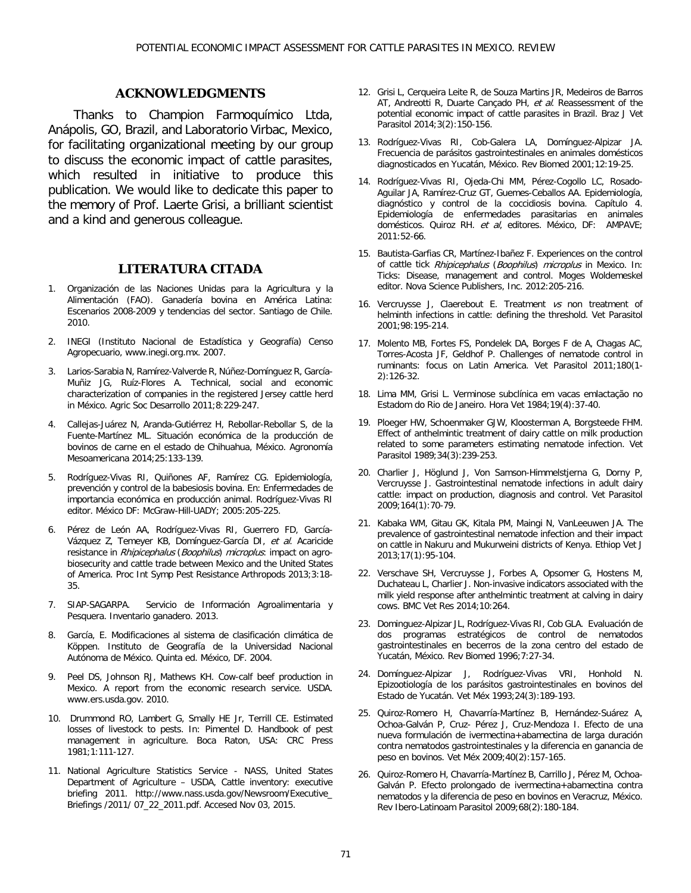#### **ACKNOWLEDGMENTS**

Thanks to Champion Farmoquímico Ltda, Anápolis, GO, Brazil, and Laboratorio Virbac, Mexico, for facilitating organizational meeting by our group to discuss the economic impact of cattle parasites, which resulted in initiative to produce this publication. We would like to dedicate this paper to the memory of Prof. Laerte Grisi, a brilliant scientist and a kind and generous colleague.

#### **LITERATURA CITADA**

- 1. Organización de las Naciones Unidas para la Agricultura y la Alimentación (FAO). Ganadería bovina en América Latina: Escenarios 2008-2009 y tendencias del sector. Santiago de Chile. 2010.
- 2. INEGI (Instituto Nacional de Estadística y Geografía) Censo Agropecuario, www.inegi.org.mx. 2007.
- 3. Larios-Sarabia N, Ramírez-Valverde R, Núñez-Domínguez R, García-Muñiz JG, Ruíz-Flores A. Technical, social and economic characterization of companies in the registered Jersey cattle herd in México. Agric Soc Desarrollo 2011;8:229-247.
- 4. Callejas-Juárez N, Aranda-Gutiérrez H, Rebollar-Rebollar S, de la Fuente-Martínez ML. Situación económica de la producción de bovinos de carne en el estado de Chihuahua, México. Agronomía Mesoamericana 2014;25:133-139.
- 5. Rodríguez-Vivas RI, Quiñones AF, Ramírez CG. Epidemiología, prevención y control de la babesiosis bovina. En: Enfermedades de importancia económica en producción animal. Rodríguez-Vivas RI editor. México DF: McGraw-Hill-UADY; 2005:205-225.
- 6. Pérez de León AA, Rodríguez-Vivas RI, Guerrero FD, García-Vázquez Z, Temeyer KB, Domínguez-García DI, et al. Acaricide resistance in Rhipicephalus (Boophilus) microplus: impact on agrobiosecurity and cattle trade between Mexico and the United States of America. Proc Int Symp Pest Resistance Arthropods 2013;3:18- 35.
- 7. SIAP-SAGARPA. Servicio de Información Agroalimentaria y Pesquera. Inventario ganadero. 2013.
- 8. García, E. Modificaciones al sistema de clasificación climática de Köppen. Instituto de Geografía de la Universidad Nacional Autónoma de México. Quinta ed. México, DF. 2004.
- 9. Peel DS, Johnson RJ, Mathews KH. Cow-calf beef production in Mexico. A report from the economic research service. USDA. [www.ers.usda.gov.](http://www.ers.usda.gov/) 2010.
- 10. Drummond RO, Lambert G, Smally HE Jr, Terrill CE. Estimated losses of livestock to pests. In: Pimentel D. Handbook of pest management in agriculture. Boca Raton, USA: CRC Press 1981;1:111-127.
- 11. National Agriculture Statistics Service NASS, United States Department of Agriculture – USDA, Cattle inventory: executive briefing 2011. [http://www.nass.usda.gov/Newsroom/Executive\\_](http://www.nass.usda.gov/Newsroom/Executive_) Briefings /2011/ 07\_22\_2011.pdf. Accesed Nov 03, 2015.
- 12. Grisi L, Cerqueira Leite R, de Souza Martins JR, Medeiros de Barros AT, Andreotti R, Duarte Cançado PH, et al. Reassessment of the potential economic impact of cattle parasites in Brazil. Braz J Vet Parasitol 2014;3(2):150-156.
- 13. Rodríguez-Vivas RI, Cob-Galera LA, Domínguez-Alpizar JA. Frecuencia de parásitos gastrointestinales en animales domésticos diagnosticados en Yucatán, México. Rev Biomed 2001;12:19-25.
- 14. Rodríguez-Vivas RI, Ojeda-Chi MM, Pérez-Cogollo LC, Rosado-Aguilar JA, Ramírez-Cruz GT, Guemes-Ceballos AA. Epidemiología, diagnóstico y control de la coccidiosis bovina. Capítulo 4. Epidemiología de enfermedades parasitarias en animales domésticos. Quiroz RH. et al, editores. México, DF: AMPAVE; 2011:52-66.
- 15. Bautista-Garfias CR, Martínez-Ibañez F. Experiences on the control of cattle tick Rhipicephalus (Boophilus) microplus in Mexico. In: Ticks: Disease, management and control. Moges Woldemeskel editor. Nova Science Publishers, Inc. 2012:205-216.
- 16. Vercruysse J, Claerebout E. Treatment  $vs$  non treatment of helminth infections in cattle: defining the threshold. Vet Parasitol 2001;98:195-214.
- 17. Molento MB, Fortes FS, Pondelek DA, Borges F de A, Chagas AC, Torres-Acosta JF, Geldhof P. Challenges of nematode control in ruminants: focus on Latin America. Vet Parasitol 2011;180(1- 2):126-32.
- 18. Lima MM, Grisi L. Verminose subclínica em vacas emlactação no Estadom do Rio de Janeiro. Hora Vet 1984;19(4):37-40.
- 19. Ploeger HW, Schoenmaker GJW, Kloosterman A, Borgsteede FHM. Effect of anthelmintic treatment of dairy cattle on milk production related to some parameters estimating nematode infection. Vet Parasitol 1989;34(3):239-253.
- 20. Charlier J, Höglund J, Von Samson-Himmelstjerna G, Dorny P, Vercruysse J. Gastrointestinal nematode infections in adult dairy cattle: impact on production, diagnosis and control. Vet Parasitol 2009;164(1):70-79.
- 21. Kabaka WM, Gitau GK, Kitala PM, Maingi N, VanLeeuwen JA. The prevalence of gastrointestinal nematode infection and their impact on cattle in Nakuru and Mukurweini districts of Kenya. Ethiop Vet J 2013;17(1):95-104.
- 22. Verschave SH, Vercruysse J, Forbes A, Opsomer G, Hostens M, Duchateau L, Charlier J. Non-invasive indicators associated with the milk yield response after anthelmintic treatment at calving in dairy cows. BMC Vet Res 2014;10:264.
- 23. Dominguez-Alpizar JL, Rodríguez-Vivas RI, Cob GLA. Evaluación de dos programas estratégicos de control de nematodos gastrointestinales en becerros de la zona centro del estado de Yucatán, México. Rev Biomed 1996;7:27-34.
- 24. Domínguez-Alpizar J, Rodríguez-Vivas VRI, Honhold N. Epizootiología de los parásitos gastrointestinales en bovinos del Estado de Yucatán. Vet Méx 1993;24(3):189-193.
- 25. Quiroz-Romero H, Chavarría-Martínez B, Hernández-Suárez A, Ochoa-Galván P, Cruz- Pérez J, Cruz-Mendoza I. Efecto de una nueva formulación de ivermectina+abamectina de larga duración contra nematodos gastrointestinales y la diferencia en ganancia de peso en bovinos. Vet Méx 2009;40(2):157-165.
- 26. Quiroz-Romero H, Chavarría-Martínez B, Carrillo J, Pérez M, Ochoa-Galván P. Efecto prolongado de ivermectina+abamectina contra nematodos y la diferencia de peso en bovinos en Veracruz, México. Rev Ibero-Latinoam Parasitol 2009;68(2):180-184.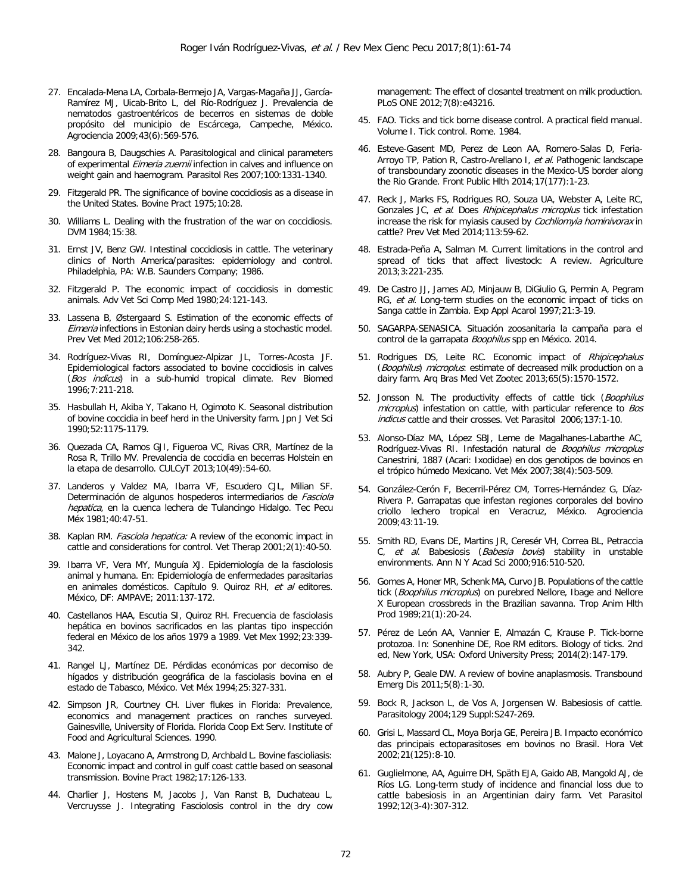- 27. Encalada-Mena LA, Corbala-Bermejo JA, Vargas-Magaña JJ, García-Ramírez MJ, Uicab-Brito L, del Río-Rodríguez J. Prevalencia de nematodos gastroentéricos de becerros en sistemas de doble propósito del municipio de Escárcega, Campeche, México. Agrociencia 2009;43(6):569-576.
- 28. Bangoura B, Daugschies A. Parasitological and clinical parameters of experimental *Eimeria zuernii* infection in calves and influence on weight gain and haemogram. Parasitol Res 2007;100:1331-1340.
- 29. Fitzgerald PR. The significance of bovine coccidiosis as a disease in the United States. Bovine Pract 1975;10:28.
- 30. Williams L. Dealing with the frustration of the war on coccidiosis. DVM 1984;15:38.
- 31. Ernst JV, Benz GW. Intestinal coccidiosis in cattle. The veterinary clinics of North America/parasites: epidemiology and control. Philadelphia, PA: W.B. Saunders Company; 1986.
- 32. Fitzgerald P. The economic impact of coccidiosis in domestic animals. Adv Vet Sci Comp Med 1980;24:121-143.
- 33. Lassena B, Østergaard S. Estimation of the economic effects of Eimeria infections in Estonian dairy herds using a stochastic model. Prev Vet Med 2012;106:258-265.
- 34. Rodríguez-Vivas RI, Domínguez-Alpizar JL, Torres-Acosta JF. Epidemiological factors associated to bovine coccidiosis in calves (Bos indicus) in a sub-humid tropical climate. Rev Biomed 1996;7:211-218.
- 35. Hasbullah H, Akiba Y, Takano H, Ogimoto K. Seasonal distribution of bovine coccidia in beef herd in the University farm. Jpn J Vet Sci 1990;52:1175-1179.
- 36. Quezada CA, Ramos GJI, Figueroa VC, Rivas CRR, Martínez de la Rosa R, Trillo MV. Prevalencia de coccidia en becerras Holstein en la etapa de desarrollo. CULCyT 2013;10(49):54-60.
- 37. Landeros y Valdez MA, Ibarra VF, Escudero CJL, Milian SF. Determinación de algunos hospederos intermediarios de Fasciola hepatica, en la cuenca lechera de Tulancingo Hidalgo. Tec Pecu Méx 1981;40:47-51.
- 38. Kaplan RM. Fasciola hepatica: A review of the economic impact in cattle and considerations for control. Vet Therap 2001;2(1):40-50.
- 39. Ibarra VF, Vera MY, Munguía XJ. Epidemiología de la fasciolosis animal y humana. En: Epidemiología de enfermedades parasitarias en animales domésticos. Capítulo 9. Quiroz RH, et al editores. México, DF: AMPAVE; 2011:137-172.
- 40. Castellanos HAA, Escutia SI, Quiroz RH. Frecuencia de fasciolasis hepática en bovinos sacrificados en las plantas tipo inspección federal en México de los años 1979 a 1989. Vet Mex 1992;23:339- 342.
- 41. Rangel LJ, Martínez DE. Pérdidas económicas por decomiso de hígados y distribución geográfica de la fasciolasis bovina en el estado de Tabasco, México. Vet Méx 1994;25:327-331.
- 42. Simpson JR, Courtney CH. Liver flukes in Florida: Prevalence, economics and management practices on ranches surveyed. Gainesville, University of Florida. Florida Coop Ext Serv. Institute of Food and Agricultural Sciences. 1990.
- 43. Malone J, Loyacano A, Armstrong D, Archbald L. Bovine fascioliasis: Economic impact and control in gulf coast cattle based on seasonal transmission. Bovine Pract 1982;17:126-133.
- 44. Charlier J, Hostens M, Jacobs J, Van Ranst B, Duchateau L, Vercruysse J. Integrating Fasciolosis control in the dry cow

management: The effect of closantel treatment on milk production. PLoS ONE 2012;7(8):e43216.

- 45. FAO. Ticks and tick borne disease control. A practical field manual. Volume I. Tick control. Rome. 1984.
- 46. Esteve-Gasent MD, Perez de Leon AA, Romero-Salas D, Feria-Arroyo TP, Pation R, Castro-Arellano I, et al. Pathogenic landscape of transboundary zoonotic diseases in the Mexico-US border along the Rio Grande. Front Public Hlth 2014;17(177):1-23.
- 47. Reck J, Marks FS, Rodrigues RO, Souza UA, Webster A, Leite RC, Gonzales JC, et al. Does Rhipicephalus microplus tick infestation increase the risk for myiasis caused by *Cochliomyia hominivorax* in cattle? Prev Vet Med 2014;113:59-62.
- 48. Estrada-Peña A, Salman M. Current limitations in the control and spread of ticks that affect livestock: A review. Agriculture 2013;3:221-235.
- 49. De Castro JJ, James AD, Minjauw B, DiGiulio G, Permin A, Pegram RG, et al. Long-term studies on the economic impact of ticks on Sanga cattle in Zambia. Exp Appl Acarol 1997;21:3-19.
- 50. SAGARPA-SENASICA. Situación zoosanitaria la campaña para el control de la garrapata *Boophilus* spp en México. 2014.
- 51. Rodrigues DS, Leite RC. Economic impact of Rhipicephalus (Boophilus) microplus: estimate of decreased milk production on a dairy farm. Arq Bras Med Vet Zootec 2013;65(5):1570-1572.
- 52. Jonsson N. The productivity effects of cattle tick (Boophilus microplus) infestation on cattle, with particular reference to Bos indicus cattle and their crosses. Vet Parasitol 2006;137:1-10.
- 53. Alonso-Díaz MA, López SBJ, Leme de Magalhanes-Labarthe AC, Rodríguez-Vivas RI. Infestación natural de Boophilus microplus Canestrini, 1887 (Acari: Ixodidae) en dos genotipos de bovinos en el trópico húmedo Mexicano. Vet Méx 2007;38(4):503-509.
- 54. González-Cerón F, Becerril-Pérez CM, Torres-Hernández G, Díaz-Rivera P. Garrapatas que infestan regiones corporales del bovino criollo lechero tropical en Veracruz, México. Agrociencia 2009;43:11-19.
- 55. Smith RD, Evans DE, Martins JR, Ceresér VH, Correa BL, Petraccia C, et al. Babesiosis (Babesia bovis) stability in unstable environments. Ann N Y Acad Sci 2000;916:510-520.
- 56. Gomes A, Honer MR, Schenk MA, Curvo JB. Populations of the cattle tick (Boophilus microplus) on purebred Nellore, Ibage and Nellore X European crossbreds in the Brazilian savanna. Trop Anim Hlth Prod 1989;21(1):20-24.
- 57. Pérez de León AA, Vannier E, Almazán C, Krause P. Tick-borne protozoa. In: Sonenhine DE, Roe RM editors. Biology of ticks. 2nd ed, New York, USA: Oxford University Press; 2014(2):147-179.
- 58. Aubry P, Geale DW. A review of bovine anaplasmosis. Transbound Emerg Dis 2011;5(8):1-30.
- 59. Bock R, Jackson L, de Vos A, Jorgensen W. Babesiosis of cattle. Parasitology 2004;129 Suppl:S247-269.
- 60. Grisi L, Massard CL, Moya Borja GE, Pereira JB. Impacto económico das principais ectoparasitoses em bovinos no Brasil. Hora Vet 2002;21(125):8-10.
- 61. Guglielmone, AA, Aguirre DH, Späth EJA, Gaido AB, Mangold AJ, de Ríos LG. Long-term study of incidence and financial loss due to cattle babesiosis in an Argentinian dairy farm. Vet Parasitol 1992;12(3-4):307-312.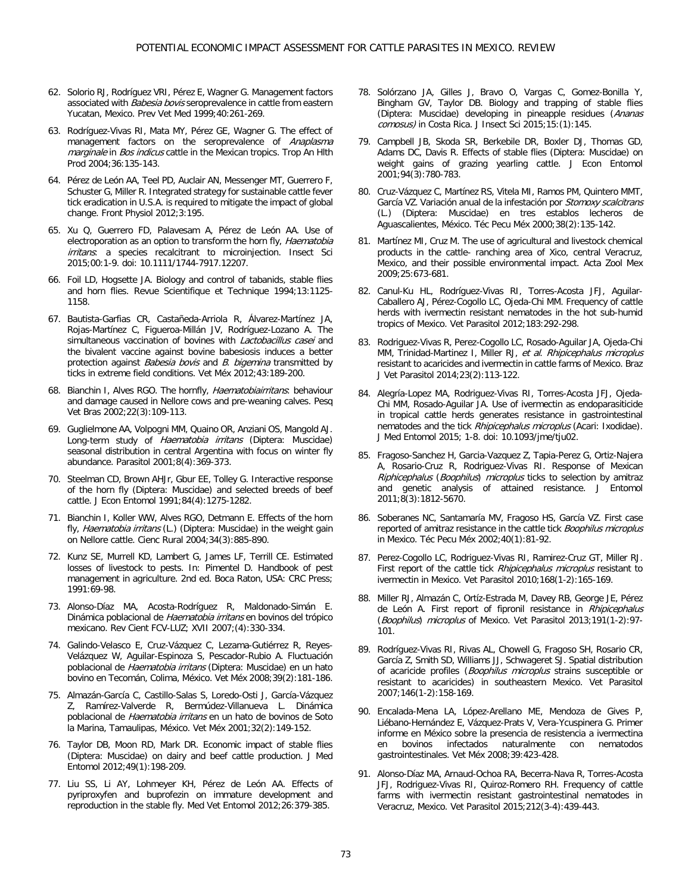- 62. Solorio RJ, Rodríguez VRI, Pérez E, Wagner G. Management factors associated with Babesia bovis seroprevalence in cattle from eastern Yucatan, Mexico. Prev Vet Med 1999;40:261-269.
- 63. Rodríguez-Vivas RI, Mata MY, Pérez GE, Wagner G. The effect of management factors on the seroprevalence of Anaplasma marginale in Bos indicus cattle in the Mexican tropics. Trop An HIth Prod 2004;36:135-143.
- 64. Pérez de León AA, Teel PD, Auclair AN, Messenger MT, Guerrero F, Schuster G, Miller R. Integrated strategy for sustainable cattle fever tick eradication in U.S.A. is required to mitigate the impact of global change. Front Physiol 2012;3:195.
- 65. Xu Q, Guerrero FD, Palavesam A, Pérez de León AA. Use of electroporation as an option to transform the horn fly, Haematobia irritans: a species recalcitrant to microinjection. Insect Sci 2015;00:1-9. doi: 10.1111/1744-7917.12207.
- 66. Foil LD, Hogsette JA. Biology and control of tabanids, stable flies and horn flies. Revue Scientifique et Technique 1994;13:1125- 1158.
- 67. Bautista-Garfias CR, [Castañeda-Arriola R,](http://www.redalyc.org/BusquedaAutorPorNombre.oa?q=%22Roberto%20Casta%C3%B1eda-Arriola%22) [Álvarez-Martínez JA,](http://www.redalyc.org/BusquedaAutorPorNombre.oa?q=%22Roberto%20Casta%C3%B1eda-Arriola%22)  [Rojas-Martínez](http://www.redalyc.org/BusquedaAutorPorNombre.oa?q=%22Carmen%20Rojas-Mart%C3%ADnez%22) C, [Figueroa-Millán JV, R](http://www.redalyc.org/BusquedaAutorPorNombre.oa?q=%22Carmen%20Rojas-Mart%C3%ADnez%22)odríguez-Lozano A. The simultaneous vaccination of bovines with Lactobacillus casei and the bivalent vaccine against bovine babesiosis induces a better protection against Babesia bovis and B. bigemina transmitted by ticks in extreme field conditions. Vet Méx 2012;43:189-200.
- 68. Bianchin I, Alves RGO. The hornfly, Haematobiairritans: behaviour and damage caused in Nellore cows and pre-weaning calves. Pesq Vet Bras 2002;22(3):109-113.
- 69. Guglielmone AA, Volpogni MM, Quaino OR, Anziani OS, Mangold AJ. Long-term study of Haematobia irritans (Diptera: Muscidae) seasonal distribution in central Argentina with focus on winter fly abundance. Parasitol 2001;8(4):369-373.
- 70. Steelman CD, Brown AHJr, Gbur EE, Tolley G. Interactive response of the horn fly (Diptera: Muscidae) and selected breeds of beef cattle. J Econ Entomol 1991;84(4):1275-1282.
- 71. Bianchin I, Koller WW, Alves RGO, Detmann E. Effects of the horn fly, *Haematobia irritans* (L.) (Diptera: Muscidae) in the weight gain on Nellore cattle. Cienc Rural 2004;34(3):885-890.
- 72. Kunz SE, Murrell KD, Lambert G, James LF, Terrill CE. Estimated losses of livestock to pests. In: Pimentel D. Handbook of pest management in agriculture. 2nd ed. Boca Raton, USA: CRC Press; 1991:69-98.
- 73. Alonso-Díaz MA, Acosta-Rodríguez R, Maldonado-Simán E. Dinámica poblacional de Haematobia irritans en bovinos del trópico mexicano. Rev Cient FCV-LUZ; XVII 2007;(4):330-334.
- 74. Galindo-Velasco E, Cruz-Vázquez C, Lezama-Gutiérrez R, Reyes-Velázquez W, Aguilar-Espinoza S, Pescador-Rubio A. Fluctuación poblacional de Haematobia irritans (Diptera: Muscidae) en un hato bovino en Tecomán, Colima, México. Vet Méx 2008;39(2):181-186.
- 75. Almazán-García C, Castillo-Salas S, Loredo-Osti J, García-Vázquez Z, Ramírez-Valverde R, Bermúdez-Villanueva L. Dinámica poblacional de Haematobia irritans en un hato de bovinos de Soto la Marina, Tamaulipas, México. Vet Méx 2001;32(2):149-152.
- 76. Taylor DB, Moon RD, Mark DR. Economic impact of stable flies (Diptera: Muscidae) on dairy and beef cattle production. J Med Entomol 2012;49(1):198-209.
- 77. Liu SS, Li AY, Lohmeyer KH, Pérez de León AA. Effects of pyriproxyfen and buprofezin on immature development and reproduction in the stable fly. Med Vet Entomol 2012;26:379-385.
- 78. Solórzano JA, Gilles J, Bravo O, Vargas C, Gomez-Bonilla Y, Bingham GV, Taylor DB. Biology and trapping of stable flies (Diptera: Muscidae) developing in pineapple residues (Ananas comosus) in Costa Rica. J Insect Sci 2015;15:(1):145.
- 79. Campbell JB, Skoda SR, Berkebile DR, Boxler DJ, Thomas GD, Adams DC, Davis R. Effects of stable flies (Diptera: Muscidae) on weight gains of grazing yearling cattle. J Econ Entomol 2001;94(3):780-783.
- 80. Cruz-Vázquez C, Martínez RS, Vitela MI, Ramos PM, Quintero MMT, García VZ. Variación anual de la infestación por Stomoxy scalcitrans (L.) (Diptera: Muscidae) en tres establos lecheros de Aguascalientes, México. Téc Pecu Méx 2000;38(2):135-142.
- 81. Martinez MI, Cruz M. The use of agricultural and livestock chemical products in the cattle- ranching area of Xico, central Veracruz, Mexico, and their possible environmental impact. Acta Zool Mex 2009;25:673-681.
- 82. Canul-Ku HL, Rodríguez-Vivas RI, Torres-Acosta JFJ, Aguilar-Caballero AJ, Pérez-Cogollo LC, Ojeda-Chi MM. Frequency of cattle herds with ivermectin resistant nematodes in the hot sub-humid tropics of Mexico. Vet Parasitol 2012;183:292-298.
- 83. Rodriguez-Vivas R, Perez-Cogollo LC, Rosado-Aguilar JA, Ojeda-Chi MM, Trinidad-Martinez I, Miller RJ, et al. Rhipicephalus microplus resistant to acaricides and ivermectin in cattle farms of Mexico. Braz J Vet Parasitol 2014;23(2):113-122.
- 84. Alegría-Lopez MA, Rodriguez-Vivas RI, Torres-Acosta JFJ, Ojeda-Chi MM, Rosado-Aguilar JA. Use of ivermectin as endoparasiticide in tropical cattle herds generates resistance in gastrointestinal nematodes and the tick Rhipicephalus microplus (Acari: Ixodidae). J Med Entomol 2015; 1-8. doi: 10.1093/jme/tju02.
- 85. Fragoso-Sanchez H, Garcia-Vazquez Z, Tapia-Perez G, Ortiz-Najera A, Rosario-Cruz R, Rodriguez-Vivas RI. Response of Mexican Riphicephalus (Boophilus) microplus ticks to selection by amitraz and genetic analysis of attained resistance. J Entomol 2011;8(3):1812-5670.
- 86. Soberanes NC, Santamaría MV, Fragoso HS, García VZ. First case reported of amitraz resistance in the cattle tick Boophilus microplus in Mexico. Téc Pecu Méx 2002;40(1):81-92.
- 87. Perez-Cogollo LC, Rodriguez-Vivas RI, Ramirez-Cruz GT, Miller RJ. First report of the cattle tick Rhipicephalus microplus resistant to ivermectin in Mexico. Vet Parasitol 2010;168(1-2):165-169.
- 88. Miller RJ, Almazán C, Ortíz-Estrada M, Davey RB, George JE, Pérez de León A. First report of fipronil resistance in Rhipicephalus (Boophilus) microplus of Mexico. Vet Parasitol 2013;191(1-2):97- 101.
- 89. Rodríguez-Vivas RI, Rivas AL, Chowell G, Fragoso SH, Rosario CR, García Z, Smith SD, Williams JJ, Schwageret SJ. Spatial distribution of acaricide profiles (Boophilus microplus strains susceptible or resistant to acaricides) in southeastern Mexico. Vet Parasitol 2007;146(1-2):158-169.
- 90. Encalada-Mena LA, López-Arellano ME, Mendoza de Gives P, Liébano-Hernández E, Vázquez-Prats V, Vera-Ycuspinera G. Primer informe en México sobre la presencia de resistencia a ivermectina<br>en bovinos infectados naturalmente con nematodos naturalmente gastrointestinales. Vet Méx 2008;39:423-428.
- 91. Alonso-Díaz MA, Arnaud-Ochoa RA, Becerra-Nava R, Torres-Acosta JFJ, Rodriguez-Vivas RI, Quiroz-Romero RH. Frequency of cattle farms with ivermectin resistant gastrointestinal nematodes in Veracruz, Mexico. Vet Parasitol 2015;212(3-4):439-443.